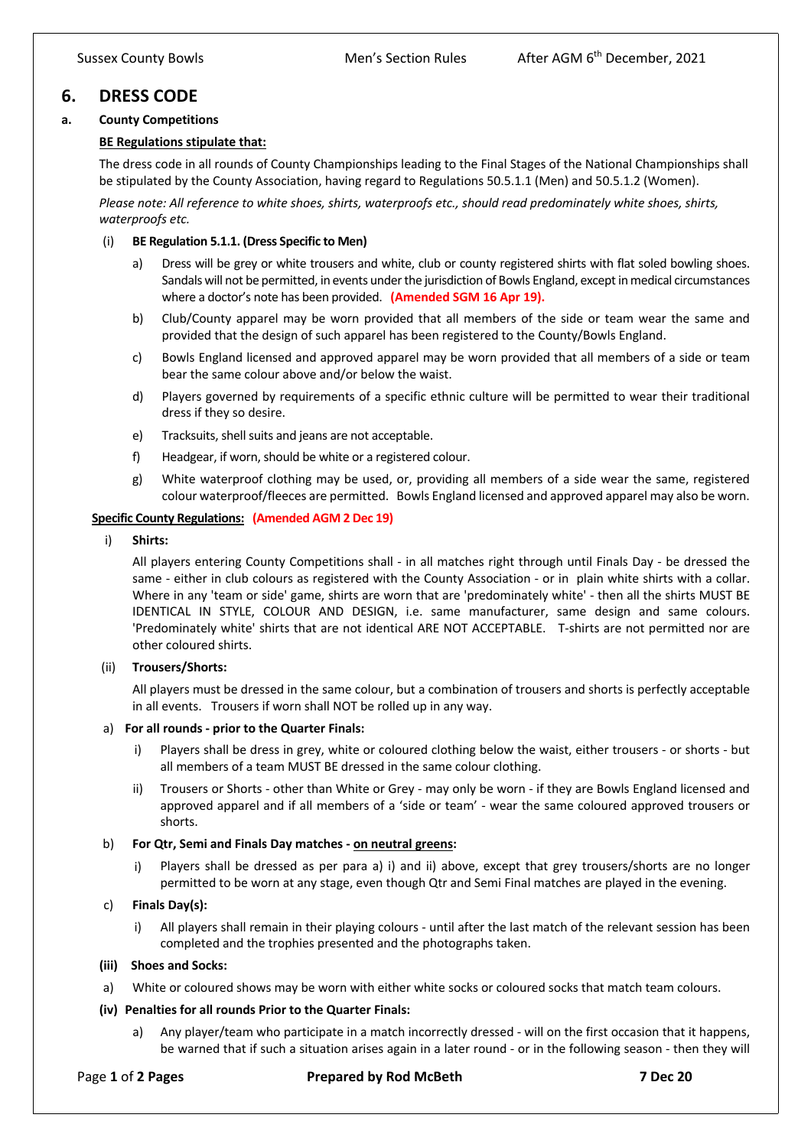# **6. DRESS CODE**

## **a. County Competitions**

## **BE Regulations stipulate that:**

The dress code in all rounds of County Championships leading to the Final Stages of the National Championships shall be stipulated by the County Association, having regard to Regulations 50.5.1.1 (Men) and 50.5.1.2 (Women).

*Please note: All reference to white shoes, shirts, waterproofs etc., should read predominately white shoes, shirts, waterproofs etc.*

### (i) **BE Regulation 5.1.1. (Dress Specific to Men)**

- a) Dress will be grey or white trousers and white, club or county registered shirts with flat soled bowling shoes. Sandals will not be permitted, in events under the jurisdiction of Bowls England, except in medical circumstances where a doctor's note has been provided. **(Amended SGM 16 Apr 19).**
- b) Club/County apparel may be worn provided that all members of the side or team wear the same and provided that the design of such apparel has been registered to the County/Bowls England.
- c) Bowls England licensed and approved apparel may be worn provided that all members of a side or team bear the same colour above and/or below the waist.
- d) Players governed by requirements of a specific ethnic culture will be permitted to wear their traditional dress if they so desire.
- e) Tracksuits, shell suits and jeans are not acceptable.
- f) Headgear, if worn, should be white or a registered colour.
- g) White waterproof clothing may be used, or, providing all members of a side wear the same, registered colour waterproof/fleeces are permitted. Bowls England licensed and approved apparel may also be worn.

## **Specific County Regulations: (Amended AGM 2 Dec 19)**

### i) **Shirts:**

All players entering County Competitions shall - in all matches right through until Finals Day - be dressed the same - either in club colours as registered with the County Association - or in plain white shirts with a collar. Where in any 'team or side' game, shirts are worn that are 'predominately white' - then all the shirts MUST BE IDENTICAL IN STYLE, COLOUR AND DESIGN, i.e. same manufacturer, same design and same colours. 'Predominately white' shirts that are not identical ARE NOT ACCEPTABLE. T-shirts are not permitted nor are other coloured shirts.

### (ii) **Trousers/Shorts:**

All players must be dressed in the same colour, but a combination of trousers and shorts is perfectly acceptable in all events. Trousers if worn shall NOT be rolled up in any way.

### a) **For all rounds - prior to the Quarter Finals:**

- i) Players shall be dress in grey, white or coloured clothing below the waist, either trousers or shorts but all members of a team MUST BE dressed in the same colour clothing.
- ii) Trousers or Shorts other than White or Grey may only be worn if they are Bowls England licensed and approved apparel and if all members of a 'side or team' - wear the same coloured approved trousers or shorts.

## b) **For Qtr, Semi and Finals Day matches - on neutral greens:**

i) Players shall be dressed as per para a) i) and ii) above, except that grey trousers/shorts are no longer permitted to be worn at any stage, even though Qtr and Semi Final matches are played in the evening.

## c) **Finals Day(s):**

i) All players shall remain in their playing colours - until after the last match of the relevant session has been completed and the trophies presented and the photographs taken.

### **(iii) Shoes and Socks:**

a) White or coloured shows may be worn with either white socks or coloured socks that match team colours.

### **(iv) Penalties for all rounds Prior to the Quarter Finals:**

a) Any player/team who participate in a match incorrectly dressed - will on the first occasion that it happens, be warned that if such a situation arises again in a later round - or in the following season - then they will